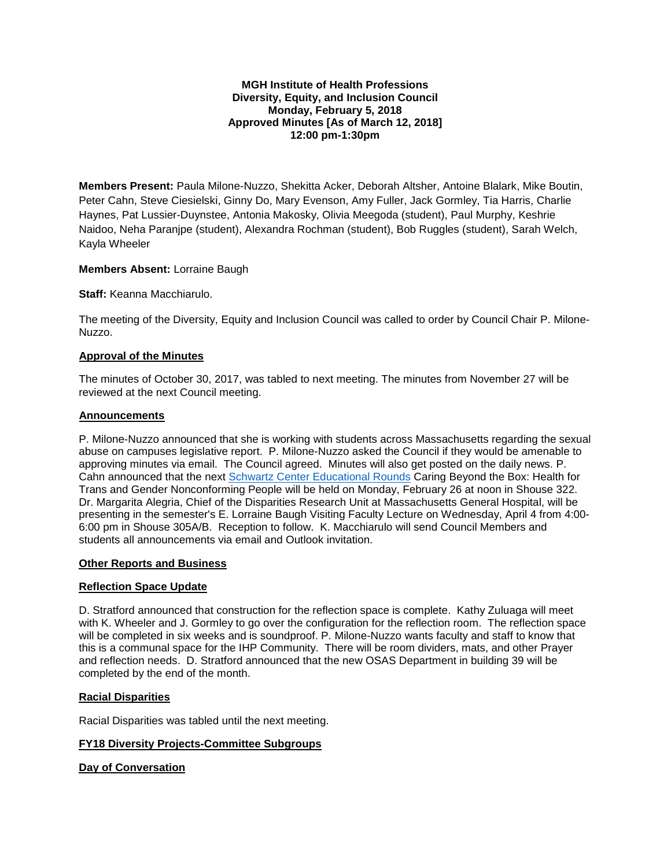### **MGH Institute of Health Professions Diversity, Equity, and Inclusion Council Monday, February 5, 2018 Approved Minutes [As of March 12, 2018] 12:00 pm-1:30pm**

**Members Present:** Paula Milone-Nuzzo, Shekitta Acker, Deborah Altsher, Antoine Blalark, Mike Boutin, Peter Cahn, Steve Ciesielski, Ginny Do, Mary Evenson, Amy Fuller, Jack Gormley, Tia Harris, Charlie Haynes, Pat Lussier-Duynstee, Antonia Makosky, Olivia Meegoda (student), Paul Murphy, Keshrie Naidoo, Neha Paranjpe (student), Alexandra Rochman (student), Bob Ruggles (student), Sarah Welch, Kayla Wheeler

## **Members Absent:** Lorraine Baugh

**Staff:** Keanna Macchiarulo.

The meeting of the Diversity, Equity and Inclusion Council was called to order by Council Chair P. Milone-Nuzzo.

### **Approval of the Minutes**

The minutes of October 30, 2017, was tabled to next meeting. The minutes from November 27 will be reviewed at the next Council meeting.

### **Announcements**

P. Milone-Nuzzo announced that she is working with students across Massachusetts regarding the sexual abuse on campuses legislative report. P. Milone-Nuzzo asked the Council if they would be amenable to approving minutes via email. The Council agreed. Minutes will also get posted on the daily news. P. Cahn announced that the next [Schwartz Center Educational Rounds](https://www.mghihp.edu/caring-beyond-box-health-trans-and-gender-nonconforming-people) Caring Beyond the Box: Health for Trans and Gender Nonconforming People will be held on Monday, February 26 at noon in Shouse 322. Dr. Margarita Alegria, Chief of the Disparities Research Unit at Massachusetts General Hospital, will be presenting in the semester's E. Lorraine Baugh Visiting Faculty Lecture on Wednesday, April 4 from 4:00- 6:00 pm in Shouse 305A/B. Reception to follow. K. Macchiarulo will send Council Members and students all announcements via email and Outlook invitation.

### **Other Reports and Business**

### **Reflection Space Update**

D. Stratford announced that construction for the reflection space is complete. Kathy Zuluaga will meet with K. Wheeler and J. Gormley to go over the configuration for the reflection room. The reflection space will be completed in six weeks and is soundproof. P. Milone-Nuzzo wants faculty and staff to know that this is a communal space for the IHP Community. There will be room dividers, mats, and other Prayer and reflection needs. D. Stratford announced that the new OSAS Department in building 39 will be completed by the end of the month.

### **Racial Disparities**

Racial Disparities was tabled until the next meeting.

## **FY18 Diversity Projects-Committee Subgroups**

## **Day of Conversation**